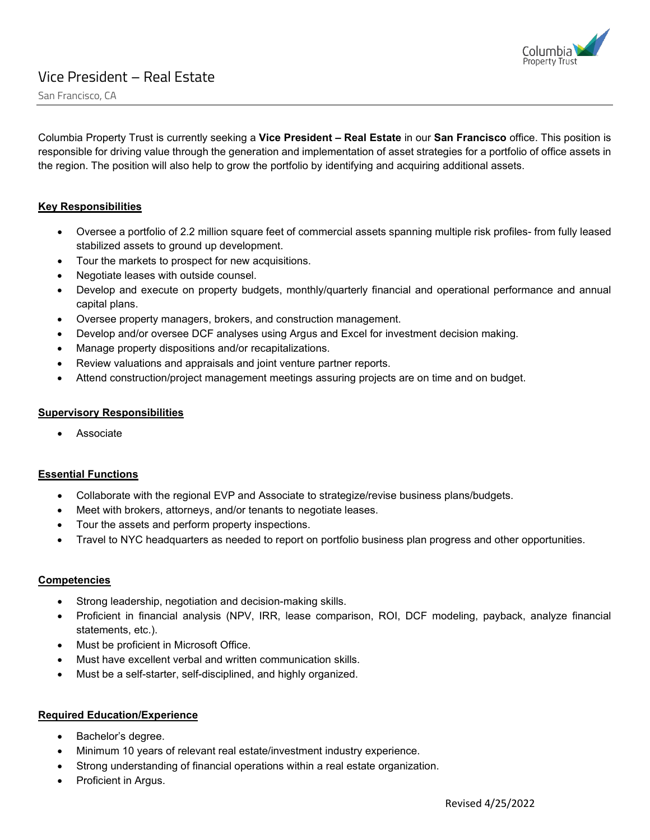

San Francisco, CA

Columbia Property Trust is currently seeking a **Vice President – Real Estate** in our **San Francisco** office. This position is responsible for driving value through the generation and implementation of asset strategies for a portfolio of office assets in the region. The position will also help to grow the portfolio by identifying and acquiring additional assets.

# **Key Responsibilities**

- Oversee a portfolio of 2.2 million square feet of commercial assets spanning multiple risk profiles- from fully leased stabilized assets to ground up development.
- Tour the markets to prospect for new acquisitions.
- Negotiate leases with outside counsel.
- Develop and execute on property budgets, monthly/quarterly financial and operational performance and annual capital plans.
- Oversee property managers, brokers, and construction management.
- Develop and/or oversee DCF analyses using Argus and Excel for investment decision making.
- Manage property dispositions and/or recapitalizations.
- Review valuations and appraisals and joint venture partner reports.
- Attend construction/project management meetings assuring projects are on time and on budget.

#### **Supervisory Responsibilities**

**Associate** 

### **Essential Functions**

- Collaborate with the regional EVP and Associate to strategize/revise business plans/budgets.
- Meet with brokers, attorneys, and/or tenants to negotiate leases.
- Tour the assets and perform property inspections.
- Travel to NYC headquarters as needed to report on portfolio business plan progress and other opportunities.

### **Competencies**

- Strong leadership, negotiation and decision-making skills.
- Proficient in financial analysis (NPV, IRR, lease comparison, ROI, DCF modeling, payback, analyze financial statements, etc.).
- Must be proficient in Microsoft Office.
- Must have excellent verbal and written communication skills.
- Must be a self-starter, self-disciplined, and highly organized.

### **Required Education/Experience**

- Bachelor's degree.
- Minimum 10 years of relevant real estate/investment industry experience.
- Strong understanding of financial operations within a real estate organization.
- Proficient in Argus.